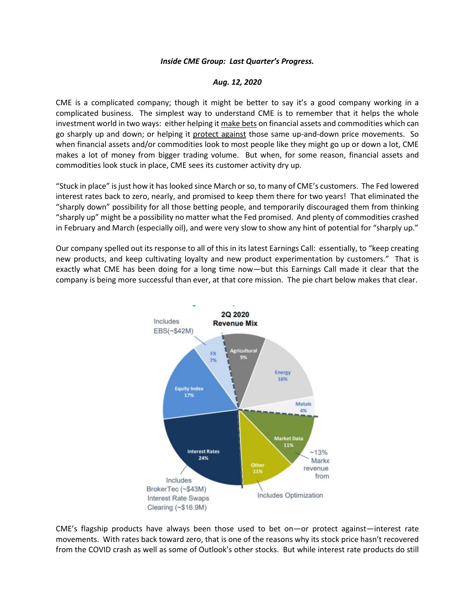## *Inside CME Group: Last Quarter's Progress.*

## *Aug. 12, 2020*

CME is a complicated company; though it might be better to say it's a good company working in a complicated business. The simplest way to understand CME is to remember that it helps the whole investment world in two ways: either helping it make bets on financial assets and commodities which can go sharply up and down; or helping it protect against those same up-and-down price movements. So when financial assets and/or commodities look to most people like they might go up or down a lot, CME makes a lot of money from bigger trading volume. But when, for some reason, financial assets and commodities look stuck in place, CME sees its customer activity dry up.

"Stuck in place" is just how it has looked since March or so, to many of CME's customers. The Fed lowered interest rates back to zero, nearly, and promised to keep them there for two years! That eliminated the "sharply down" possibility for all those betting people, and temporarily discouraged them from thinking "sharply up" might be a possibility no matter what the Fed promised. And plenty of commodities crashed in February and March (especially oil), and were very slow to show any hint of potential for "sharply up."

Our company spelled out its response to all of this in its latest Earnings Call: essentially, to "keep creating new products, and keep cultivating loyalty and new product experimentation by customers." That is exactly what CME has been doing for a long time now—but this Earnings Call made it clear that the company is being more successful than ever, at that core mission. The pie chart below makes that clear.



CME's flagship products have always been those used to bet on—or protect against—interest rate movements. With rates back toward zero, that is one of the reasons why its stock price hasn't recovered from the COVID crash as well as some of Outlook's other stocks. But while interest rate products do still